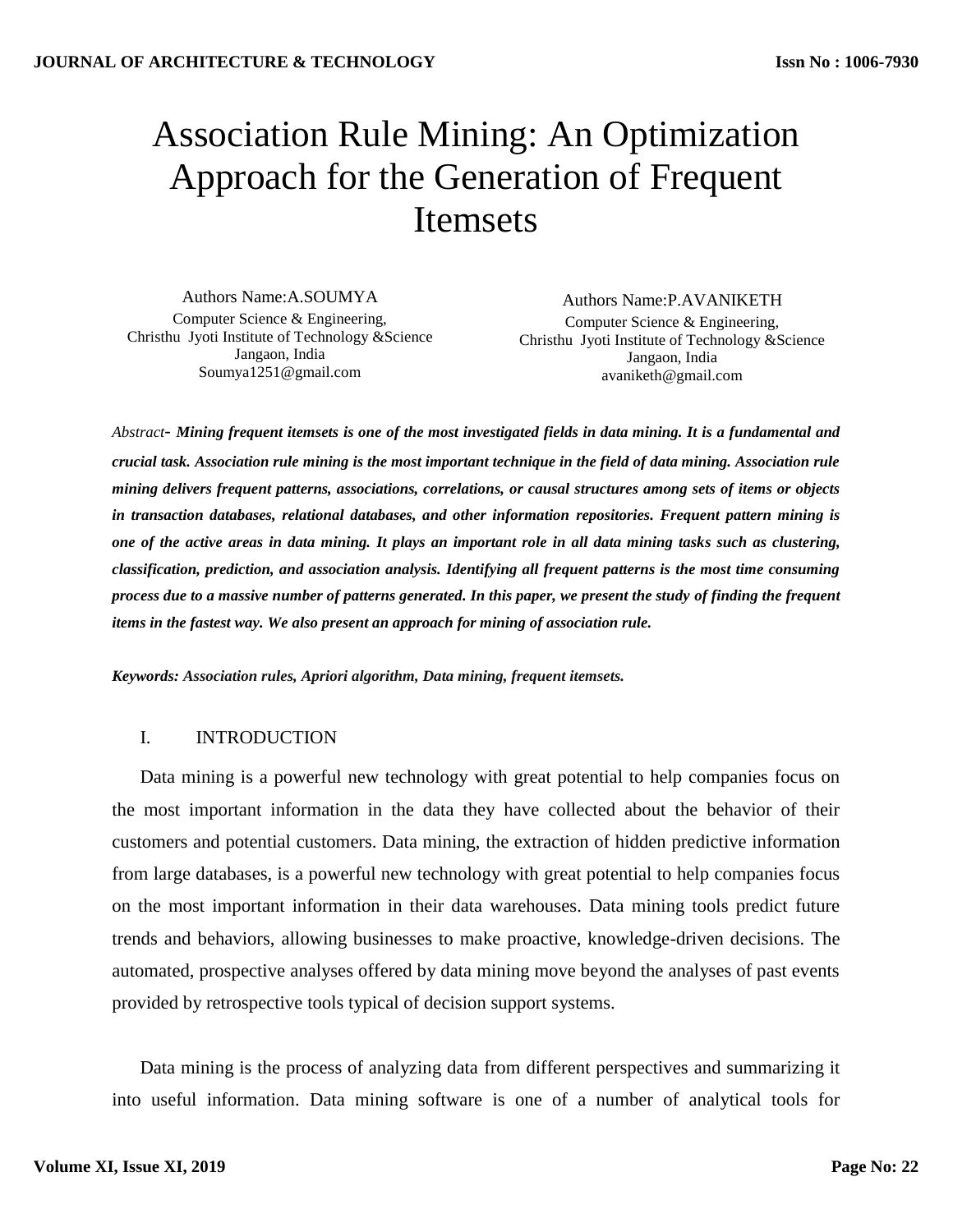# Association Rule Mining: An Optimization Approach for the Generation of Frequent Itemsets

Authors Name:A.SOUMYA Computer Science & Engineering, Christhu Jyoti Institute of Technology &Science Jangaon, India Soumya1251@gmail.com

Authors Name:P.AVANIKETH Computer Science & Engineering, Christhu Jyoti Institute of Technology &Science Jangaon, India avaniketh@gmail.com

*Abstract- Mining frequent itemsets is one of the most investigated fields in data mining. It is a fundamental and crucial task. Association rule mining is the most important technique in the field of data mining. Association rule mining delivers frequent patterns, associations, correlations, or causal structures among sets of items or objects in transaction databases, relational databases, and other information repositories. Frequent pattern mining is one of the active areas in data mining. It plays an important role in all data mining tasks such as clustering, classification, prediction, and association analysis. Identifying all frequent patterns is the most time consuming process due to a massive number of patterns generated. In this paper, we present the study of finding the frequent items in the fastest way. We also present an approach for mining of association rule.*

*Keywords: Association rules, Apriori algorithm, Data mining, frequent itemsets.*

## I. INTRODUCTION

Data mining is a powerful new technology with great potential to help companies focus on the most important information in the data they have collected about the behavior of their customers and potential customers. Data mining, the extraction of hidden predictive information from large databases, is a powerful new technology with great potential to help companies focus on the most important information in their data warehouses. Data mining tools predict future trends and behaviors, allowing businesses to make proactive, knowledge-driven decisions. The automated, prospective analyses offered by data mining move beyond the analyses of past events provided by retrospective tools typical of decision support systems.

Data mining is the process of analyzing data from different perspectives and summarizing it into useful information. Data mining software is one of a number of analytical tools for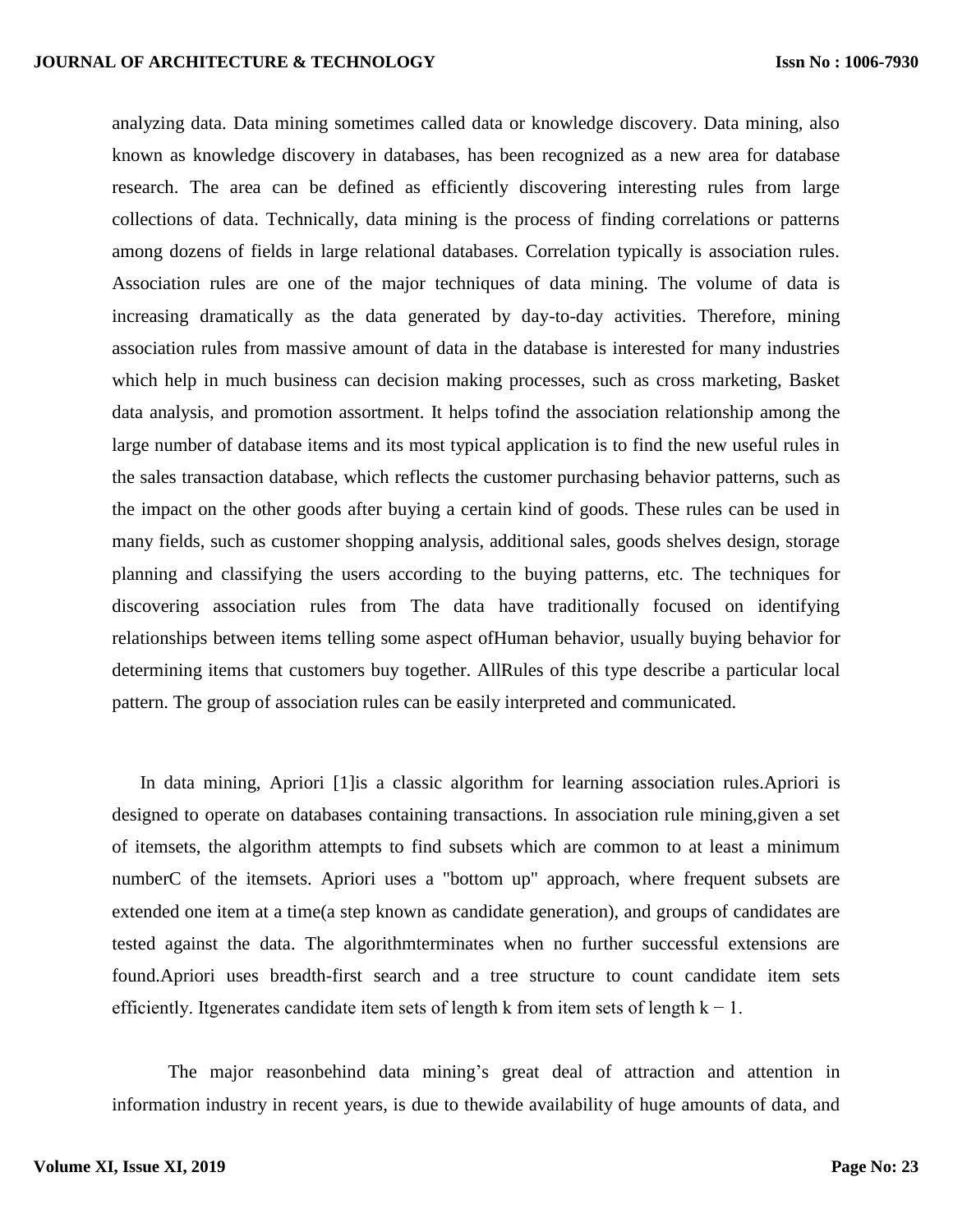analyzing data. Data mining sometimes called data or knowledge discovery. Data mining, also known as knowledge discovery in databases, has been recognized as a new area for database research. The area can be defined as efficiently discovering interesting rules from large collections of data. Technically, data mining is the process of finding correlations or patterns among dozens of fields in large relational databases. Correlation typically is association rules. Association rules are one of the major techniques of data mining. The volume of data is increasing dramatically as the data generated by day-to-day activities. Therefore, mining association rules from massive amount of data in the database is interested for many industries which help in much business can decision making processes, such as cross marketing, Basket data analysis, and promotion assortment. It helps tofind the association relationship among the large number of database items and its most typical application is to find the new useful rules in the sales transaction database, which reflects the customer purchasing behavior patterns, such as the impact on the other goods after buying a certain kind of goods. These rules can be used in many fields, such as customer shopping analysis, additional sales, goods shelves design, storage planning and classifying the users according to the buying patterns, etc. The techniques for discovering association rules from The data have traditionally focused on identifying relationships between items telling some aspect ofHuman behavior, usually buying behavior for determining items that customers buy together. AllRules of this type describe a particular local pattern. The group of association rules can be easily interpreted and communicated.

In data mining, Apriori [1]is a classic algorithm for learning association rules.Apriori is designed to operate on databases containing transactions. In association rule mining,given a set of itemsets, the algorithm attempts to find subsets which are common to at least a minimum numberC of the itemsets. Apriori uses a "bottom up" approach, where frequent subsets are extended one item at a time(a step known as candidate generation), and groups of candidates are tested against the data. The algorithmterminates when no further successful extensions are found.Apriori uses breadth-first search and a tree structure to count candidate item sets efficiently. Itgenerates candidate item sets of length k from item sets of length  $k - 1$ .

The major reasonbehind data mining's great deal of attraction and attention in information industry in recent years, is due to thewide availability of huge amounts of data, and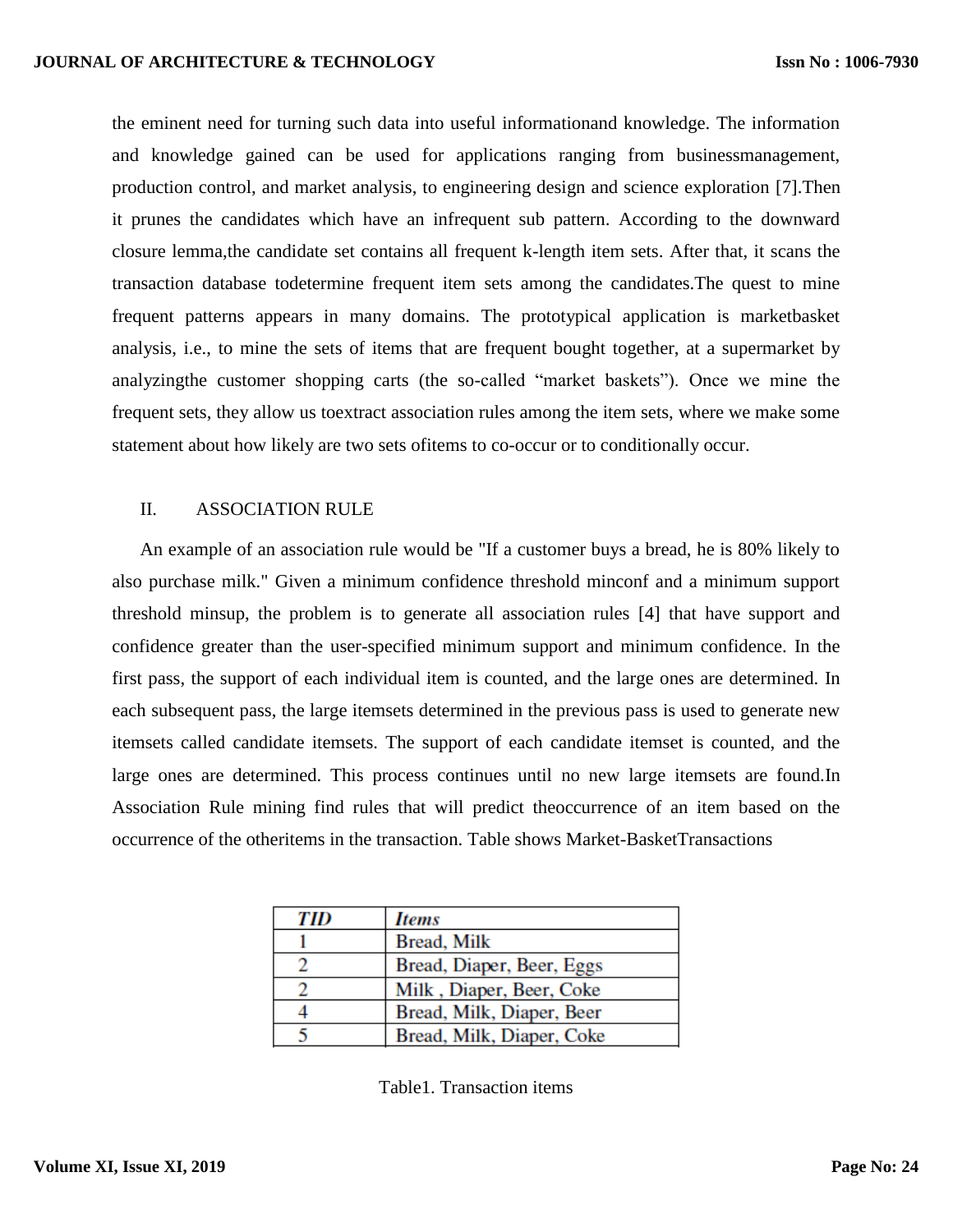the eminent need for turning such data into useful informationand knowledge. The information and knowledge gained can be used for applications ranging from businessmanagement, production control, and market analysis, to engineering design and science exploration [7].Then it prunes the candidates which have an infrequent sub pattern. According to the downward closure lemma,the candidate set contains all frequent k-length item sets. After that, it scans the transaction database todetermine frequent item sets among the candidates.The quest to mine frequent patterns appears in many domains. The prototypical application is marketbasket analysis, i.e., to mine the sets of items that are frequent bought together, at a supermarket by analyzingthe customer shopping carts (the so-called "market baskets"). Once we mine the frequent sets, they allow us toextract association rules among the item sets, where we make some statement about how likely are two sets ofitems to co-occur or to conditionally occur.

## II. ASSOCIATION RULE

An example of an association rule would be "If a customer buys a bread, he is 80% likely to also purchase milk." Given a minimum confidence threshold minconf and a minimum support threshold minsup, the problem is to generate all association rules [4] that have support and confidence greater than the user-specified minimum support and minimum confidence. In the first pass, the support of each individual item is counted, and the large ones are determined. In each subsequent pass, the large itemsets determined in the previous pass is used to generate new itemsets called candidate itemsets. The support of each candidate itemset is counted, and the large ones are determined. This process continues until no new large itemsets are found.In Association Rule mining find rules that will predict theoccurrence of an item based on the occurrence of the otheritems in the transaction. Table shows Market-BasketTransactions

| TID | <i>Items</i>              |
|-----|---------------------------|
|     | Bread, Milk               |
|     | Bread, Diaper, Beer, Eggs |
|     | Milk, Diaper, Beer, Coke  |
|     | Bread, Milk, Diaper, Beer |
|     | Bread, Milk, Diaper, Coke |

Table1. Transaction items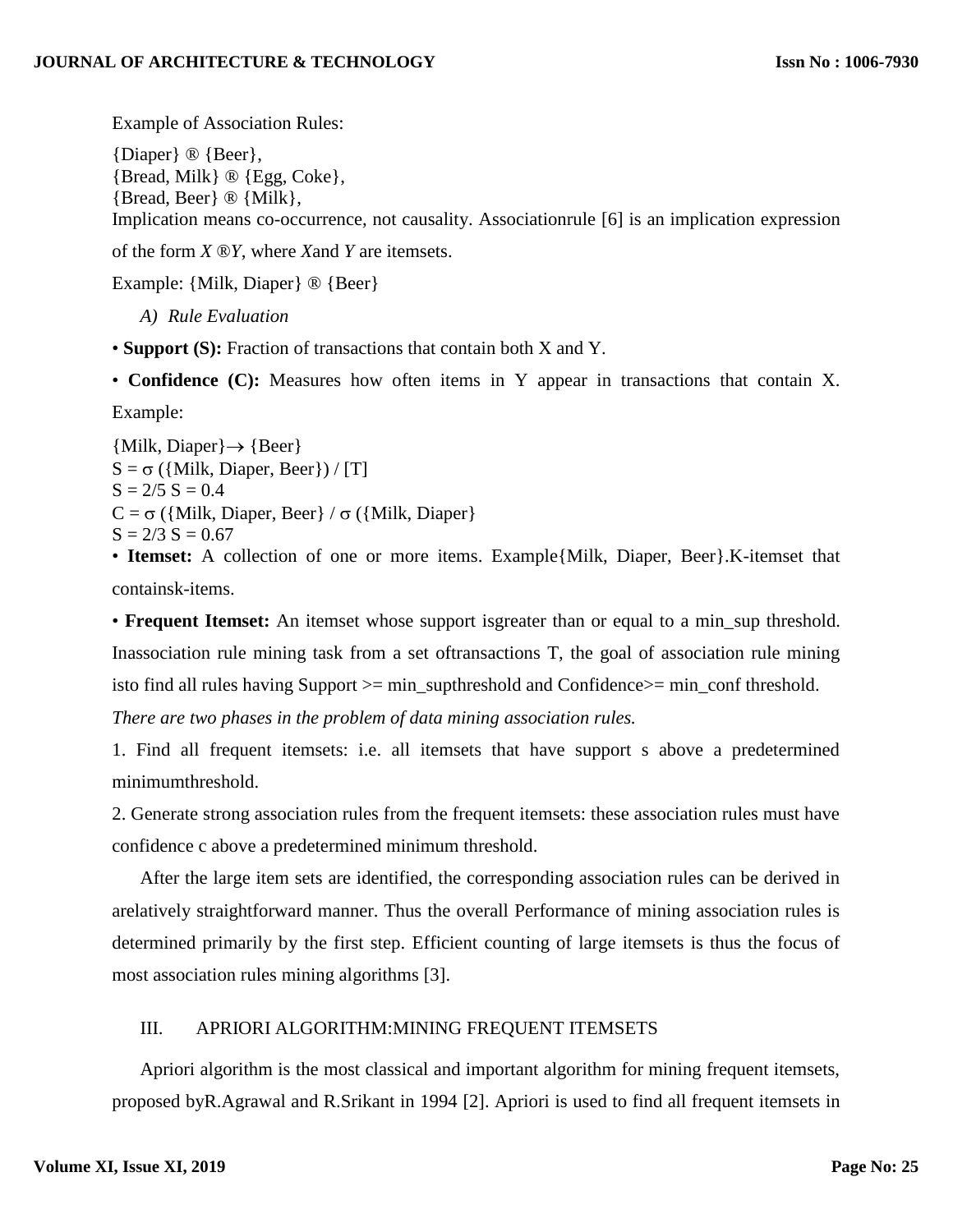Example of Association Rules:

{Diaper} ® {Beer}, {Bread, Milk} ® {Egg, Coke}, {Bread, Beer} ® {Milk}, Implication means co-occurrence, not causality. Associationrule [6] is an implication expression

of the form *X* ®*Y*, where *X*and *Y* are itemsets.

Example: {Milk, Diaper} ® {Beer}

*A) Rule Evaluation*

• **Support (S):** Fraction of transactions that contain both X and Y.

• **Confidence (C):** Measures how often items in Y appear in transactions that contain X.

Example:

 ${Milk, Diaper} \rightarrow {Beer}$  $S = \sigma$  ({Milk, Diaper, Beer}) / [T]  $S = 2/5 S = 0.4$  $C = \sigma$  ({Milk, Diaper, Beer} /  $\sigma$  ({Milk, Diaper}  $S = 2/3 S = 0.67$ 

• **Itemset:** A collection of one or more items. Example{Milk, Diaper, Beer}.K-itemset that containsk-items.

• **Frequent Itemset:** An itemset whose support isgreater than or equal to a min\_sup threshold. Inassociation rule mining task from a set oftransactions T, the goal of association rule mining isto find all rules having Support >= min\_supthreshold and Confidence>= min\_conf threshold. *There are two phases in the problem of data mining association rules.*

1. Find all frequent itemsets: i.e. all itemsets that have support s above a predetermined minimumthreshold.

2. Generate strong association rules from the frequent itemsets: these association rules must have confidence c above a predetermined minimum threshold.

After the large item sets are identified, the corresponding association rules can be derived in arelatively straightforward manner. Thus the overall Performance of mining association rules is determined primarily by the first step. Efficient counting of large itemsets is thus the focus of most association rules mining algorithms [3].

## III. APRIORI ALGORITHM:MINING FREQUENT ITEMSETS

Apriori algorithm is the most classical and important algorithm for mining frequent itemsets, proposed byR.Agrawal and R.Srikant in 1994 [2]. Apriori is used to find all frequent itemsets in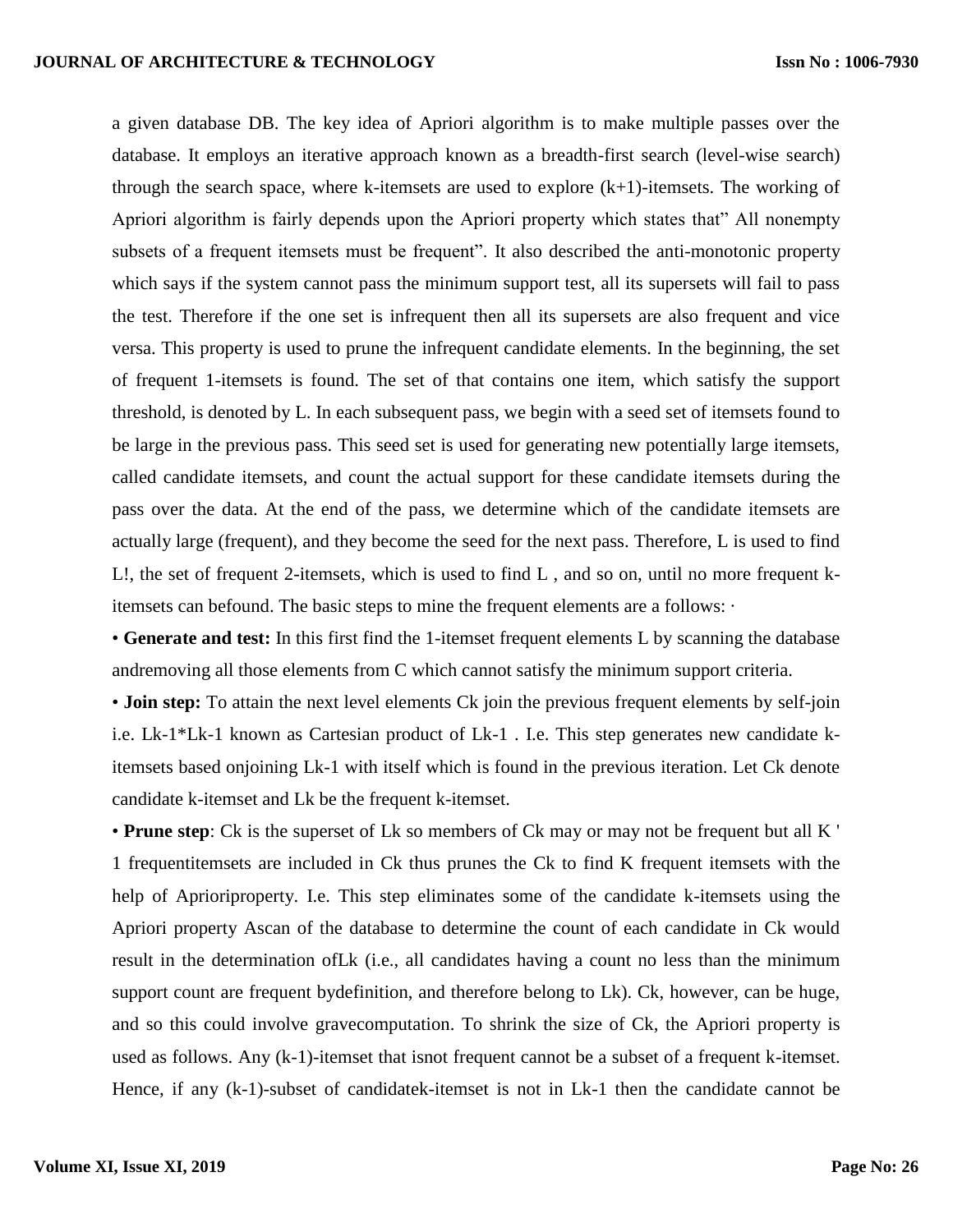a given database DB. The key idea of Apriori algorithm is to make multiple passes over the database. It employs an iterative approach known as a breadth-first search (level-wise search) through the search space, where k-itemsets are used to explore  $(k+1)$ -itemsets. The working of Apriori algorithm is fairly depends upon the Apriori property which states that" All nonempty subsets of a frequent itemsets must be frequent". It also described the anti-monotonic property which says if the system cannot pass the minimum support test, all its supersets will fail to pass the test. Therefore if the one set is infrequent then all its supersets are also frequent and vice versa. This property is used to prune the infrequent candidate elements. In the beginning, the set of frequent 1-itemsets is found. The set of that contains one item, which satisfy the support threshold, is denoted by L. In each subsequent pass, we begin with a seed set of itemsets found to be large in the previous pass. This seed set is used for generating new potentially large itemsets, called candidate itemsets, and count the actual support for these candidate itemsets during the pass over the data. At the end of the pass, we determine which of the candidate itemsets are actually large (frequent), and they become the seed for the next pass. Therefore, L is used to find L!, the set of frequent 2-itemsets, which is used to find L , and so on, until no more frequent kitemsets can befound. The basic steps to mine the frequent elements are a follows: ·

• **Generate and test:** In this first find the 1-itemset frequent elements L by scanning the database andremoving all those elements from C which cannot satisfy the minimum support criteria.

• **Join step:** To attain the next level elements Ck join the previous frequent elements by self-join i.e. Lk-1\*Lk-1 known as Cartesian product of Lk-1 . I.e. This step generates new candidate kitemsets based onjoining Lk-1 with itself which is found in the previous iteration. Let Ck denote candidate k-itemset and Lk be the frequent k-itemset.

• **Prune step**: Ck is the superset of Lk so members of Ck may or may not be frequent but all K ' 1 frequentitemsets are included in Ck thus prunes the Ck to find K frequent itemsets with the help of Aprioriproperty. I.e. This step eliminates some of the candidate k-itemsets using the Apriori property Ascan of the database to determine the count of each candidate in Ck would result in the determination ofLk (i.e., all candidates having a count no less than the minimum support count are frequent bydefinition, and therefore belong to Lk). Ck, however, can be huge, and so this could involve gravecomputation. To shrink the size of Ck, the Apriori property is used as follows. Any (k-1)-itemset that isnot frequent cannot be a subset of a frequent k-itemset. Hence, if any (k-1)-subset of candidatek-itemset is not in Lk-1 then the candidate cannot be